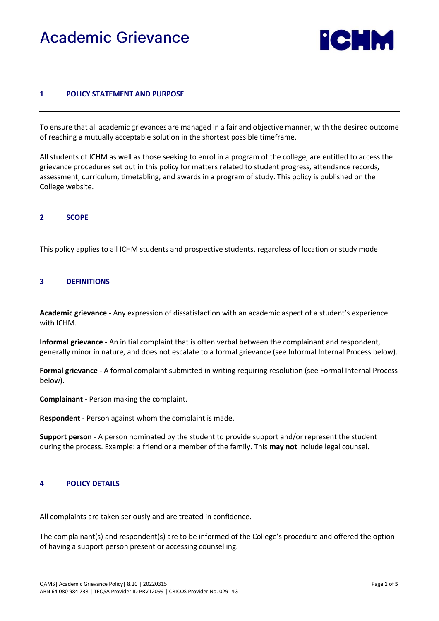# Academic Grievance



## **1 POLICY STATEMENT AND PURPOSE**

To ensure that all academic grievances are managed in a fair and objective manner, with the desired outcome of reaching a mutually acceptable solution in the shortest possible timeframe.

All students of ICHM as well as those seeking to enrol in a program of the college, are entitled to access the grievance procedures set out in this policy for matters related to student progress, attendance records, assessment, curriculum, timetabling, and awards in a program of study. This policy is published on the College website.

## **2 SCOPE**

This policy applies to all ICHM students and prospective students, regardless of location or study mode.

#### **3 DEFINITIONS**

**Academic grievance -** Any expression of dissatisfaction with an academic aspect of a student's experience with ICHM.

**Informal grievance -** An initial complaint that is often verbal between the complainant and respondent, generally minor in nature, and does not escalate to a formal grievance (see Informal Internal Process below).

**Formal grievance -** A formal complaint submitted in writing requiring resolution (see Formal Internal Process below).

**Complainant -** Person making the complaint.

**Respondent** - Person against whom the complaint is made.

**Support person** - A person nominated by the student to provide support and/or represent the student during the process. Example: a friend or a member of the family. This **may not** include legal counsel.

#### **4 POLICY DETAILS**

All complaints are taken seriously and are treated in confidence.

The complainant(s) and respondent(s) are to be informed of the College's procedure and offered the option of having a support person present or accessing counselling.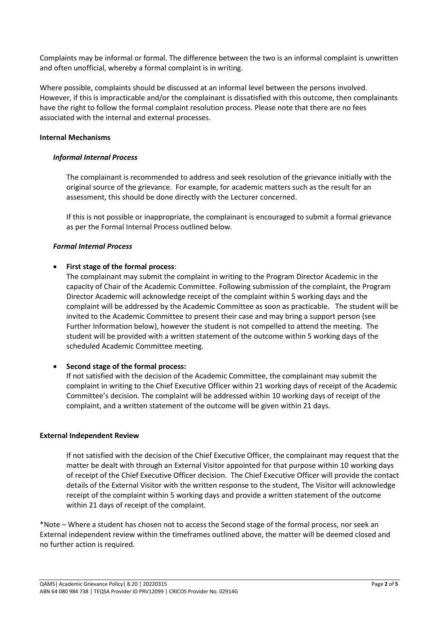Complaints may be informal or formal. The difference between the two is an informal complaint is unwritten and often unofficial, whereby a formal complaint is in writing.

Where possible, complaints should be discussed at an informal level between the persons involved. However, if this is impracticable and/or the complainant is dissatisfied with this outcome, then complainants have the right to follow the formal complaint resolution process. Please note that there are no fees associated with the internal and external processes.

## **Internal Mechanisms**

## *Informal Internal Process*

The complainant is recommended to address and seek resolution of the grievance initially with the original source of the grievance. For example, for academic matters such as the result for an assessment, this should be done directly with the Lecturer concerned.

If this is not possible or inappropriate, the complainant is encouraged to submit a formal grievance as per the Formal Internal Process outlined below.

## *Formal Internal Process*

## • **First stage of the formal process**:

The complainant may submit the complaint in writing to the Program Director Academic in the capacity of Chair of the Academic Committee. Following submission of the complaint, the Program Director Academic will acknowledge receipt of the complaint within 5 working days and the complaint will be addressed by the Academic Committee as soon as practicable. The student will be invited to the Academic Committee to present their case and may bring a support person (see Further Information below), however the student is not compelled to attend the meeting. The student will be provided with a written statement of the outcome within 5 working days of the scheduled Academic Committee meeting.

# • **Second stage of the formal process:**

If not satisfied with the decision of the Academic Committee, the complainant may submit the complaint in writing to the Chief Executive Officer within 21 working days of receipt of the Academic Committee's decision. The complaint will be addressed within 10 working days of receipt of the complaint, and a written statement of the outcome will be given within 21 days.

## **External Independent Review**

If not satisfied with the decision of the Chief Executive Officer, the complainant may request that the matter be dealt with through an External Visitor appointed for that purpose within 10 working days of receipt of the Chief Executive Officer decision. The Chief Executive Officer will provide the contact details of the External Visitor with the written response to the student, The Visitor will acknowledge receipt of the complaint within 5 working days and provide a written statement of the outcome within 21 days of receipt of the complaint.

\*Note – Where a student has chosen not to access the Second stage of the formal process, nor seek an External independent review within the timeframes outlined above, the matter will be deemed closed and no further action is required.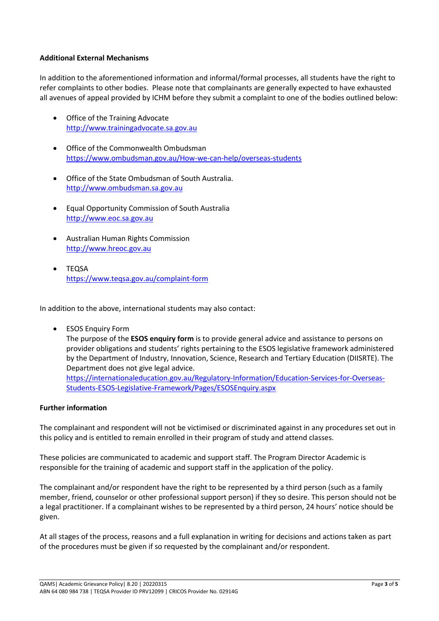## **Additional External Mechanisms**

In addition to the aforementioned information and informal/formal processes, all students have the right to refer complaints to other bodies. Please note that complainants are generally expected to have exhausted all avenues of appeal provided by ICHM before they submit a complaint to one of the bodies outlined below:

- Office of the Training Advocate [http://www.trainingadvocate.sa.gov.au](http://www.trainingadvocate.sa.gov.au/)
- Office of the Commonwealth Ombudsman <https://www.ombudsman.gov.au/How-we-can-help/overseas-students>
- Office of the State Ombudsman of South Australia. [http://www.ombudsman.sa.gov.au](http://www.ombudsman.sa.gov.au/)
- Equal Opportunity Commission of South Australia [http://www.eoc.sa.gov.au](http://www.eoc.sa.gov.au/)
- Australian Human Rights Commission [http://www.hreoc.gov.au](http://www.hreoc.gov.au/)
- TEQSA <https://www.teqsa.gov.au/complaint-form>

In addition to the above, international students may also contact:

**ESOS Enquiry Form** The purpose of the **ESOS enquiry form** is to provide general advice and assistance to persons on provider obligations and students' rights pertaining to the ESOS legislative framework administered by the Department of Industry, Innovation, Science, Research and Tertiary Education (DIISRTE). The Department does not give legal advice. [https://internationaleducation.gov.au/Regulatory-Information/Education-Services-for-Overseas-](https://internationaleducation.gov.au/Regulatory-Information/Education-Services-for-Overseas-Students-ESOS-Legislative-Framework/Pages/ESOSEnquiry.aspx)[Students-ESOS-Legislative-Framework/Pages/ESOSEnquiry.aspx](https://internationaleducation.gov.au/Regulatory-Information/Education-Services-for-Overseas-Students-ESOS-Legislative-Framework/Pages/ESOSEnquiry.aspx)

## **Further information**

The complainant and respondent will not be victimised or discriminated against in any procedures set out in this policy and is entitled to remain enrolled in their program of study and attend classes.

These policies are communicated to academic and support staff. The Program Director Academic is responsible for the training of academic and support staff in the application of the policy.

The complainant and/or respondent have the right to be represented by a third person (such as a family member, friend, counselor or other professional support person) if they so desire. This person should not be a legal practitioner. If a complainant wishes to be represented by a third person, 24 hours' notice should be given.

At all stages of the process, reasons and a full explanation in writing for decisions and actions taken as part of the procedures must be given if so requested by the complainant and/or respondent.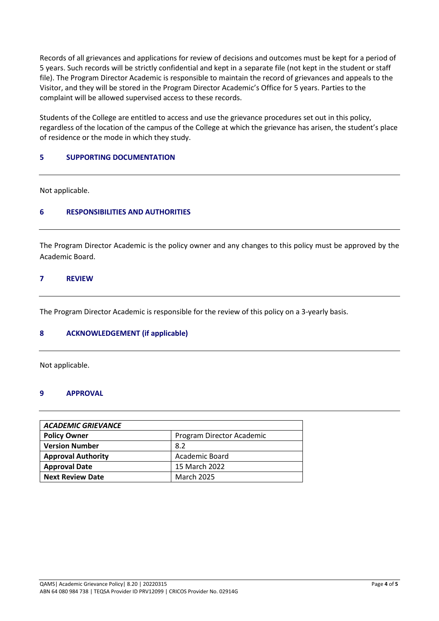Records of all grievances and applications for review of decisions and outcomes must be kept for a period of 5 years. Such records will be strictly confidential and kept in a separate file (not kept in the student or staff file). The Program Director Academic is responsible to maintain the record of grievances and appeals to the Visitor, and they will be stored in the Program Director Academic's Office for 5 years. Parties to the complaint will be allowed supervised access to these records.

Students of the College are entitled to access and use the grievance procedures set out in this policy, regardless of the location of the campus of the College at which the grievance has arisen, the student's place of residence or the mode in which they study.

# **5 SUPPORTING DOCUMENTATION**

Not applicable.

# **6 RESPONSIBILITIES AND AUTHORITIES**

The Program Director Academic is the policy owner and any changes to this policy must be approved by the Academic Board.

## **7 REVIEW**

The Program Director Academic is responsible for the review of this policy on a 3-yearly basis.

## **8 ACKNOWLEDGEMENT (if applicable)**

Not applicable.

## **9 APPROVAL**

| <b>ACADEMIC GRIEVANCE</b> |                           |  |  |
|---------------------------|---------------------------|--|--|
| <b>Policy Owner</b>       | Program Director Academic |  |  |
| <b>Version Number</b>     | 8.2                       |  |  |
| <b>Approval Authority</b> | Academic Board            |  |  |
| <b>Approval Date</b>      | 15 March 2022             |  |  |
| <b>Next Review Date</b>   | <b>March 2025</b>         |  |  |